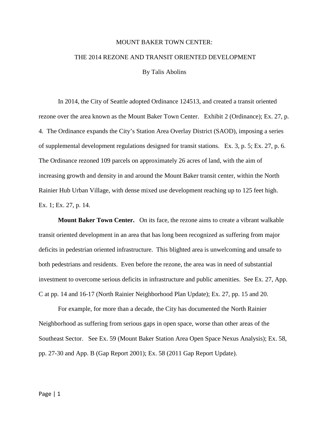## MOUNT BAKER TOWN CENTER:

## THE 2014 REZONE AND TRANSIT ORIENTED DEVELOPMENT

By Talis Abolins

In 2014, the City of Seattle adopted Ordinance 124513, and created a transit oriented rezone over the area known as the Mount Baker Town Center. Exhibit 2 (Ordinance); Ex. 27, p. 4. The Ordinance expands the City's Station Area Overlay District (SAOD), imposing a series of supplemental development regulations designed for transit stations. Ex. 3, p. 5; Ex. 27, p. 6. The Ordinance rezoned 109 parcels on approximately 26 acres of land, with the aim of increasing growth and density in and around the Mount Baker transit center, within the North Rainier Hub Urban Village, with dense mixed use development reaching up to 125 feet high. Ex. 1; Ex. 27, p. 14.

**Mount Baker Town Center.** On its face, the rezone aims to create a vibrant walkable transit oriented development in an area that has long been recognized as suffering from major deficits in pedestrian oriented infrastructure. This blighted area is unwelcoming and unsafe to both pedestrians and residents. Even before the rezone, the area was in need of substantial investment to overcome serious deficits in infrastructure and public amenities. See Ex. 27, App. C at pp. 14 and 16-17 (North Rainier Neighborhood Plan Update); Ex. 27, pp. 15 and 20.

For example, for more than a decade, the City has documented the North Rainier Neighborhood as suffering from serious gaps in open space, worse than other areas of the Southeast Sector. See Ex. 59 (Mount Baker Station Area Open Space Nexus Analysis); Ex. 58, pp. 27-30 and App. B (Gap Report 2001); Ex. 58 (2011 Gap Report Update).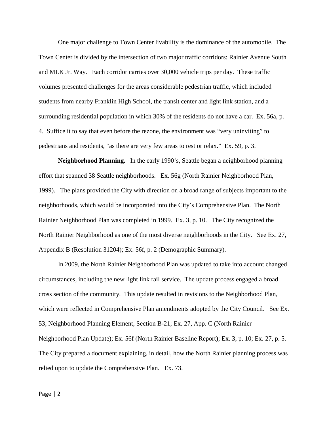One major challenge to Town Center livability is the dominance of the automobile. The Town Center is divided by the intersection of two major traffic corridors: Rainier Avenue South and MLK Jr. Way. Each corridor carries over 30,000 vehicle trips per day. These traffic volumes presented challenges for the areas considerable pedestrian traffic, which included students from nearby Franklin High School, the transit center and light link station, and a surrounding residential population in which 30% of the residents do not have a car. Ex. 56a, p. 4. Suffice it to say that even before the rezone, the environment was "very uninviting" to pedestrians and residents, "as there are very few areas to rest or relax." Ex. 59, p. 3.

**Neighborhood Planning.** In the early 1990's, Seattle began a neighborhood planning effort that spanned 38 Seattle neighborhoods. Ex. 56g (North Rainier Neighborhood Plan, 1999). The plans provided the City with direction on a broad range of subjects important to the neighborhoods, which would be incorporated into the City's Comprehensive Plan. The North Rainier Neighborhood Plan was completed in 1999. Ex. 3, p. 10. The City recognized the North Rainier Neighborhood as one of the most diverse neighborhoods in the City. See Ex. 27, Appendix B (Resolution 31204); Ex. 56f, p. 2 (Demographic Summary).

In 2009, the North Rainier Neighborhood Plan was updated to take into account changed circumstances, including the new light link rail service. The update process engaged a broad cross section of the community. This update resulted in revisions to the Neighborhood Plan, which were reflected in Comprehensive Plan amendments adopted by the City Council. See Ex. 53, Neighborhood Planning Element, Section B-21; Ex. 27, App. C (North Rainier Neighborhood Plan Update); Ex. 56f (North Rainier Baseline Report); Ex. 3, p. 10; Ex. 27, p. 5. The City prepared a document explaining, in detail, how the North Rainier planning process was relied upon to update the Comprehensive Plan. Ex. 73.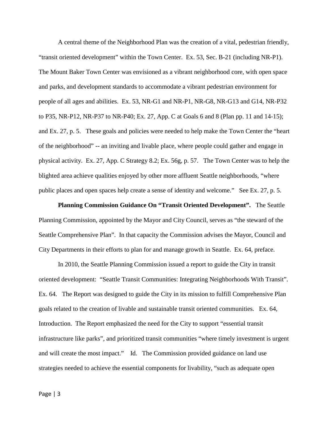A central theme of the Neighborhood Plan was the creation of a vital, pedestrian friendly, "transit oriented development" within the Town Center. Ex. 53, Sec. B-21 (including NR-P1). The Mount Baker Town Center was envisioned as a vibrant neighborhood core, with open space and parks, and development standards to accommodate a vibrant pedestrian environment for people of all ages and abilities. Ex. 53, NR-G1 and NR-P1, NR-G8, NR-G13 and G14, NR-P32 to P35, NR-P12, NR-P37 to NR-P40; Ex. 27, App. C at Goals 6 and 8 (Plan pp. 11 and 14-15); and Ex. 27, p. 5. These goals and policies were needed to help make the Town Center the "heart of the neighborhood" -- an inviting and livable place, where people could gather and engage in physical activity. Ex. 27, App. C Strategy 8.2; Ex. 56g, p. 57. The Town Center was to help the blighted area achieve qualities enjoyed by other more affluent Seattle neighborhoods, "where public places and open spaces help create a sense of identity and welcome." See Ex. 27, p. 5.

**Planning Commission Guidance On "Transit Oriented Development".** The Seattle Planning Commission, appointed by the Mayor and City Council, serves as "the steward of the Seattle Comprehensive Plan". In that capacity the Commission advises the Mayor, Council and City Departments in their efforts to plan for and manage growth in Seattle. Ex. 64, preface.

In 2010, the Seattle Planning Commission issued a report to guide the City in transit oriented development: "Seattle Transit Communities: Integrating Neighborhoods With Transit". Ex. 64. The Report was designed to guide the City in its mission to fulfill Comprehensive Plan goals related to the creation of livable and sustainable transit oriented communities. Ex. 64, Introduction. The Report emphasized the need for the City to support "essential transit infrastructure like parks", and prioritized transit communities "where timely investment is urgent and will create the most impact." Id. The Commission provided guidance on land use strategies needed to achieve the essential components for livability, "such as adequate open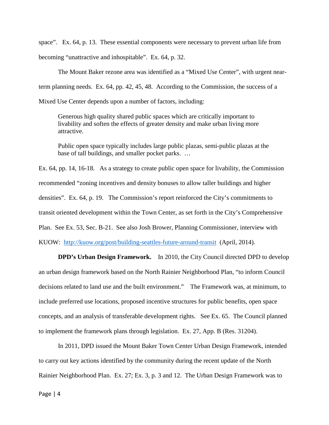space". Ex. 64, p. 13. These essential components were necessary to prevent urban life from becoming "unattractive and inhospitable". Ex. 64, p. 32.

The Mount Baker rezone area was identified as a "Mixed Use Center", with urgent nearterm planning needs. Ex. 64, pp. 42, 45, 48. According to the Commission, the success of a Mixed Use Center depends upon a number of factors, including:

Generous high quality shared public spaces which are critically important to livability and soften the effects of greater density and make urban living more attractive.

Public open space typically includes large public plazas, semi-public plazas at the base of tall buildings, and smaller pocket parks. …

Ex. 64, pp. 14, 16-18. As a strategy to create public open space for livability, the Commission recommended "zoning incentives and density bonuses to allow taller buildings and higher densities". Ex. 64, p. 19. The Commission's report reinforced the City's commitments to transit oriented development within the Town Center, as set forth in the City's Comprehensive Plan. See Ex. 53, Sec. B-21. See also Josh Brower, Planning Commissioner, interview with KUOW: <http://kuow.org/post/building-seattles-future-around-transit>(April, 2014).

**DPD's Urban Design Framework.** In 2010, the City Council directed DPD to develop an urban design framework based on the North Rainier Neighborhood Plan, "to inform Council decisions related to land use and the built environment." The Framework was, at minimum, to include preferred use locations, proposed incentive structures for public benefits, open space concepts, and an analysis of transferable development rights. See Ex. 65. The Council planned to implement the framework plans through legislation. Ex. 27, App. B (Res. 31204).

In 2011, DPD issued the Mount Baker Town Center Urban Design Framework, intended to carry out key actions identified by the community during the recent update of the North Rainier Neighborhood Plan. Ex. 27; Ex. 3, p. 3 and 12. The Urban Design Framework was to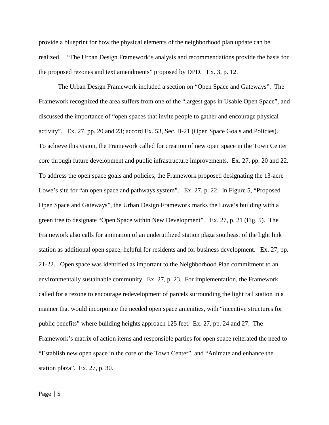provide a blueprint for how the physical elements of the neighborhood plan update can be realized. "The Urban Design Framework's analysis and recommendations provide the basis for the proposed rezones and text amendments" proposed by DPD. Ex. 3, p. 12.

The Urban Design Framework included a section on "Open Space and Gateways". The Framework recognized the area suffers from one of the "largest gaps in Usable Open Space", and discussed the importance of "open spaces that invite people to gather and encourage physical activity". Ex. 27, pp. 20 and 23; accord Ex. 53, Sec. B-21 (Open Space Goals and Policies). To achieve this vision, the Framework called for creation of new open space in the Town Center core through future development and public infrastructure improvements. Ex. 27, pp. 20 and 22. To address the open space goals and policies, the Framework proposed designating the 13-acre Lowe's site for "an open space and pathways system". Ex. 27, p. 22. In Figure 5, "Proposed Open Space and Gateways", the Urban Design Framework marks the Lowe's building with a green tree to designate "Open Space within New Development". Ex. 27, p. 21 (Fig. 5). The Framework also calls for animation of an underutilized station plaza southeast of the light link station as additional open space, helpful for residents and for business development. Ex. 27, pp. 21-22. Open space was identified as important to the Neighborhood Plan commitment to an environmentally sustainable community. Ex. 27, p. 23. For implementation, the Framework called for a rezone to encourage redevelopment of parcels surrounding the light rail station in a manner that would incorporate the needed open space amenities, with "incentive structures for public benefits" where building heights approach 125 feet. Ex. 27, pp. 24 and 27. The Framework's matrix of action items and responsible parties for open space reiterated the need to "Establish new open space in the core of the Town Center", and "Animate and enhance the station plaza". Ex. 27, p. 30.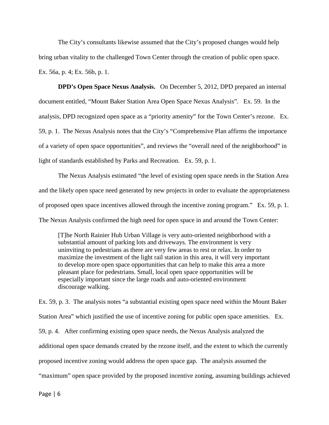The City's consultants likewise assumed that the City's proposed changes would help bring urban vitality to the challenged Town Center through the creation of public open space. Ex. 56a, p. 4; Ex. 56b, p. 1.

**DPD's Open Space Nexus Analysis.** On December 5, 2012, DPD prepared an internal document entitled, "Mount Baker Station Area Open Space Nexus Analysis". Ex. 59. In the analysis, DPD recognized open space as a "priority amenity" for the Town Center's rezone. Ex. 59, p. 1. The Nexus Analysis notes that the City's "Comprehensive Plan affirms the importance of a variety of open space opportunities", and reviews the "overall need of the neighborhood" in light of standards established by Parks and Recreation. Ex. 59, p. 1.

The Nexus Analysis estimated "the level of existing open space needs in the Station Area and the likely open space need generated by new projects in order to evaluate the appropriateness of proposed open space incentives allowed through the incentive zoning program." Ex. 59, p. 1. The Nexus Analysis confirmed the high need for open space in and around the Town Center:

[T]he North Rainier Hub Urban Village is very auto‐oriented neighborhood with a substantial amount of parking lots and driveways. The environment is very uninviting to pedestrians as there are very few areas to rest or relax. In order to maximize the investment of the light rail station in this area, it will very important to develop more open space opportunities that can help to make this area a more pleasant place for pedestrians. Small, local open space opportunities will be especially important since the large roads and auto-oriented environment discourage walking.

Ex. 59, p. 3. The analysis notes "a substantial existing open space need within the Mount Baker Station Area" which justified the use of incentive zoning for public open space amenities. Ex. 59, p. 4. After confirming existing open space needs, the Nexus Analysis analyzed the additional open space demands created by the rezone itself, and the extent to which the currently proposed incentive zoning would address the open space gap. The analysis assumed the "maximum" open space provided by the proposed incentive zoning, assuming buildings achieved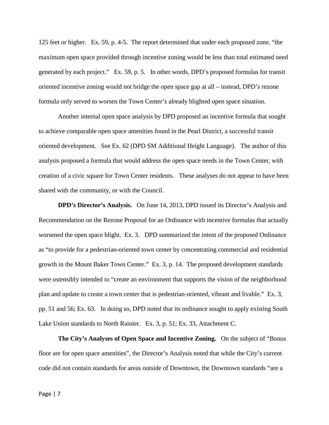125 feet or higher. Ex. 59, p. 4-5. The report determined that under each proposed zone, "the maximum open space provided through incentive zoning would be less than total estimated need generated by each project." Ex. 59, p. 5. In other words, DPD's proposed formulas for transit oriented incentive zoning would not bridge the open space gap at all – instead, DPD's rezone formula only served to worsen the Town Center's already blighted open space situation.

Another internal open space analysis by DPD proposed an incentive formula that sought to achieve comparable open space amenities found in the Pearl District, a successful transit oriented development. See Ex. 62 (DPD SM Additional Height Language). The author of this analysis proposed a formula that would address the open space needs in the Town Center, with creation of a civic square for Town Center residents. These analyses do not appear to have been shared with the community, or with the Council.

**DPD's Director's Analysis.** On June 14, 2013, DPD issued its Director's Analysis and Recommendation on the Rezone Proposal for an Ordinance with incentive formulas that actually worsened the open space blight. Ex. 3. DPD summarized the intent of the proposed Ordinance as "to provide for a pedestrian-oriented town center by concentrating commercial and residential growth in the Mount Baker Town Center." Ex. 3, p. 14. The proposed development standards were ostensibly intended to "create an environment that supports the vision of the neighborhood plan and update to create a town center that is pedestrian-oriented, vibrant and livable." Ex. 3, pp. 51 and 56; Ex. 63. In doing so, DPD noted that its ordinance sought to apply existing South Lake Union standards to North Rainier. Ex. 3, p. 51; Ex. 33, Attachment C.

**The City's Analyses of Open Space and Incentive Zoning.** On the subject of "Bonus floor are for open space amenities", the Director's Analysis noted that while the City's current code did not contain standards for areas outside of Downtown, the Downtown standards "are a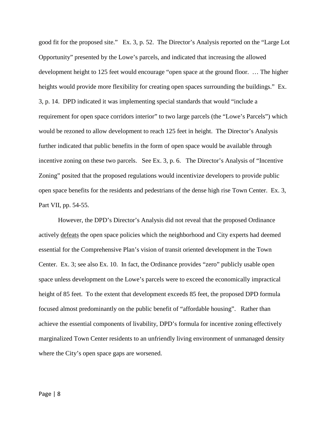good fit for the proposed site." Ex. 3, p. 52. The Director's Analysis reported on the "Large Lot Opportunity" presented by the Lowe's parcels, and indicated that increasing the allowed development height to 125 feet would encourage "open space at the ground floor. … The higher heights would provide more flexibility for creating open spaces surrounding the buildings." Ex. 3, p. 14. DPD indicated it was implementing special standards that would "include a requirement for open space corridors interior" to two large parcels (the "Lowe's Parcels") which would be rezoned to allow development to reach 125 feet in height. The Director's Analysis further indicated that public benefits in the form of open space would be available through incentive zoning on these two parcels. See Ex. 3, p. 6. The Director's Analysis of "Incentive Zoning" posited that the proposed regulations would incentivize developers to provide public open space benefits for the residents and pedestrians of the dense high rise Town Center. Ex. 3, Part VII, pp. 54-55.

However, the DPD's Director's Analysis did not reveal that the proposed Ordinance actively defeats the open space policies which the neighborhood and City experts had deemed essential for the Comprehensive Plan's vision of transit oriented development in the Town Center. Ex. 3; see also Ex. 10. In fact, the Ordinance provides "zero" publicly usable open space unless development on the Lowe's parcels were to exceed the economically impractical height of 85 feet. To the extent that development exceeds 85 feet, the proposed DPD formula focused almost predominantly on the public benefit of "affordable housing". Rather than achieve the essential components of livability, DPD's formula for incentive zoning effectively marginalized Town Center residents to an unfriendly living environment of unmanaged density where the City's open space gaps are worsened.